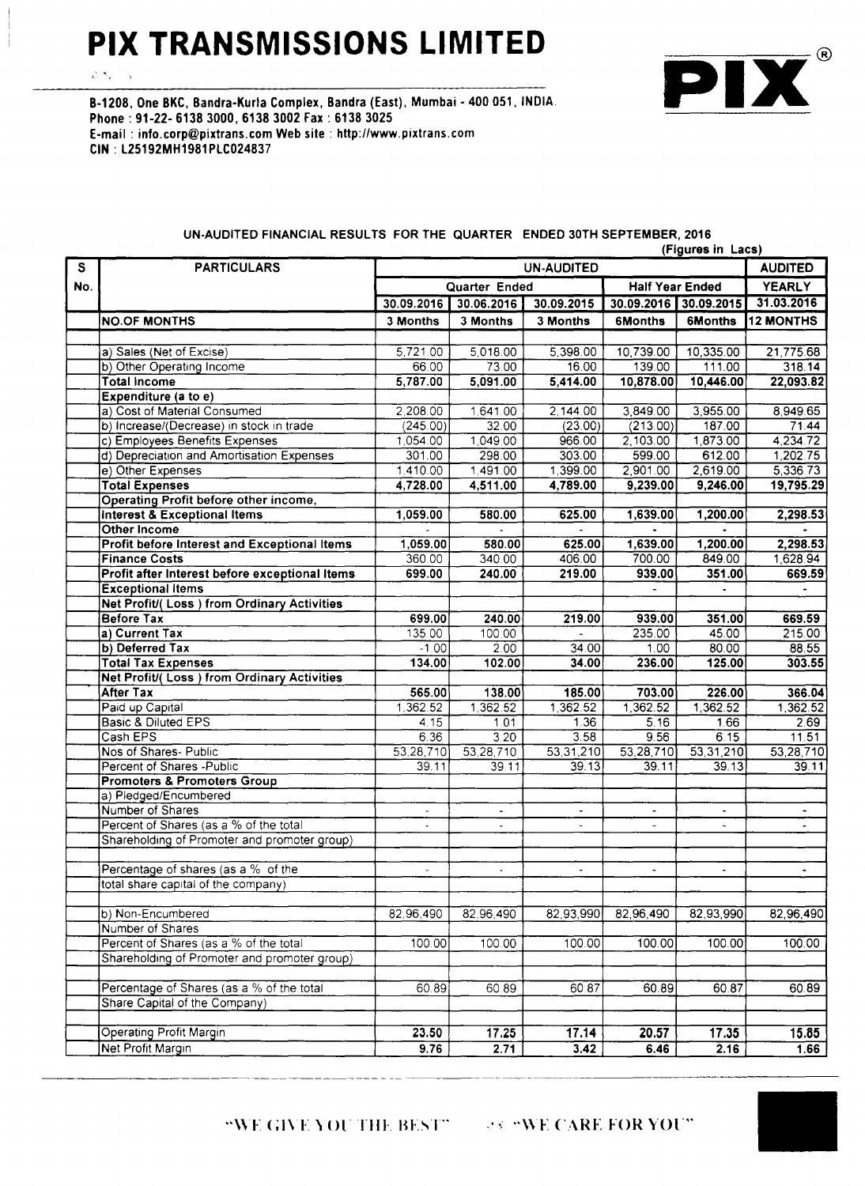### **PIX TRANSMISSIONS LIMITED**

 $\mathcal{L}(\mathcal{N})$  $\bar{\gamma}$ 

 $^{\circledR}$ P

B-1208, One BKC, Bandra-Kurla Complex, Bandra (East), Mumbai - 400 051, INDIA. Phone: 91-22- 6138 3000, 6138 3002 Fax: 6138 3025 E-mail: [info.corp@pixtrans.com](mailto:info.corp@pixtrans.com) Web site: <http://www.pixtrans.com> CIN: L25192MH1981PLC024837

|             |                                                     | (Figures in Lacs)                   |                |                          |                          |                        |                  |  |
|-------------|-----------------------------------------------------|-------------------------------------|----------------|--------------------------|--------------------------|------------------------|------------------|--|
| $\mathbf S$ | <b>PARTICULARS</b>                                  | <b>AUDITED</b><br><b>UN-AUDITED</b> |                |                          |                          |                        |                  |  |
| No.         |                                                     |                                     | Quarter Ended  |                          |                          | <b>Half Year Ended</b> | <b>YEARLY</b>    |  |
|             |                                                     | 30.09.2016                          | 30.06.2016     | $30.09.\overline{2015}$  | 30.09.2016 30.09.2015    |                        | 31.03.2016       |  |
|             | <b>NO.OF MONTHS</b>                                 | 3 Months                            | 3 Months       | 3 Months                 | <b>6Months</b>           | <b>6Months</b>         | <b>12 MONTHS</b> |  |
|             |                                                     |                                     |                |                          |                          |                        |                  |  |
|             | a) Sales (Net of Excise)                            | 5,721.00                            | 5,018.00       | 5,398.00                 | 10,739.00                | 10,335.00              | 21,775.68        |  |
|             | b) Other Operating Income                           | 66.00                               | 73.00          | 16.00                    | 139.00                   | 111.00                 | 318.14           |  |
|             | <b>Total Income</b>                                 | 5,787.00                            | 5,091.00       | 5,414.00                 | 10,878.00                | 10,446.00              | 22,093.82        |  |
|             | Expenditure (a to e)                                |                                     |                |                          |                          |                        |                  |  |
|             | a) Cost of Material Consumed                        | 2,208.00                            | 1,641.00       | 2,144.00                 | 3,849.00                 | 3,955.00               | 8,949.65         |  |
|             | b) Increase/(Decrease) in stock in trade            | (245.00)                            | 32.00          | (23.00)                  | (213.00)                 | 187.00                 | 71.44            |  |
|             | c) Employees Benefits Expenses                      | 1,054.00                            | 1,049.00       | 966.00                   | 2,103.00                 | 1,873.00               | 4,234.72         |  |
|             | d) Depreciation and Amortisation Expenses           | 301.00                              | 298.00         | 303.00                   | 599.00                   | 612.00                 | 1,202.75         |  |
|             | e) Other Expenses                                   | 1.410.00                            | 1,491.00       | 1,399.00                 | 2,901.00                 | 2,619.00               | 5,336.73         |  |
|             | <b>Total Expenses</b>                               | 4,728.00                            | 4,511.00       | 4,789.00                 | 9,239.00                 | 9,246.00               | 19,795.29        |  |
|             | Operating Profit before other income,               |                                     |                |                          |                          |                        |                  |  |
|             | <b>Interest &amp; Exceptional Items</b>             | 1,059.00                            | 580.00         | 625.00                   | 1,639.00                 | 1,200.00               | 2,298.53         |  |
|             | Other Income                                        |                                     |                |                          |                          |                        |                  |  |
|             | <b>Profit before Interest and Exceptional Items</b> | 1,059.00                            | 580.00         | 625.00                   | 1,639.00                 | 1,200.00               | 2,298.53         |  |
|             | <b>Finance Costs</b>                                | 360.00                              | 340.00         | 406.00                   | 700.00                   | 849.00                 | 1,628.94         |  |
|             | Profit after Interest before exceptional Items      | 699.00                              | 240.00         | 219.00                   | 939.00                   | 351.00                 | 669.59           |  |
|             | <b>Exceptional Items</b>                            |                                     |                |                          |                          |                        |                  |  |
|             | <b>Net Profit/(Loss) from Ordinary Activities</b>   |                                     |                |                          |                          |                        |                  |  |
|             | <b>Before Tax</b>                                   | 699.00                              | 240.00         | 219.00                   | 939.00                   | 351.00                 | 669.59           |  |
|             | a) Current Tax                                      | 135.00                              | 100.00         |                          | 235.00                   | 45.00                  | 215.00           |  |
|             | b) Deferred Tax                                     | $-1.00$                             | 2.00           | 34.00                    | 1.00                     | 80.00                  | 88.55            |  |
|             | <b>Total Tax Expenses</b>                           | 134.00                              | 102.00         | 34.00                    | 236.00                   | 125.00                 | 303.55           |  |
|             | <b>Net Profit/(Loss) from Ordinary Activities</b>   |                                     |                |                          |                          |                        |                  |  |
|             | <b>After Tax</b>                                    | 565.00                              | 138.00         | 185.00                   | 703.00                   | 226.00                 | 366.04           |  |
|             | Paid up Capital                                     | 1,362.52                            | 1,362.52       | 1,362.52                 | 1,362.52                 | 1,362.52               | 1,362.52         |  |
|             | <b>Basic &amp; Diluted EPS</b>                      | 4.15                                | 1.01           | 1.36                     | 5.16                     | 1.66                   | 2.69             |  |
|             | Cash EPS                                            | 6.36                                | 3.20           | 3.58                     | 9.56                     | 6.15                   | 11.51            |  |
|             | Nos of Shares- Public                               | 53,28,710                           | 53,28,710      | 53,31,210                | $\overline{53,28,710}$   | 53,31,210              | 53,28,710        |  |
|             | Percent of Shares - Public                          | 39.11                               | 39.11          | 39.13                    | 39.11                    | 39.13                  | 39.11            |  |
|             | <b>Promoters &amp; Promoters Group</b>              |                                     |                |                          |                          |                        |                  |  |
|             | a) Pledged/Encumbered                               |                                     |                |                          |                          |                        |                  |  |
|             | Number of Shares                                    | $\blacksquare$                      | $\blacksquare$ | $\overline{\phantom{a}}$ | $\overline{\phantom{a}}$ | $\blacksquare$         | $\blacksquare$   |  |
|             | Percent of Shares (as a % of the total              |                                     |                |                          |                          |                        |                  |  |
|             | Shareholding of Promoter and promoter group)        |                                     |                |                          |                          |                        |                  |  |
|             |                                                     |                                     |                |                          |                          |                        |                  |  |
|             | Percentage of shares (as a % of the                 |                                     |                | $\overline{\phantom{a}}$ | $\overline{\phantom{a}}$ |                        |                  |  |
|             | total share capital of the company)                 |                                     |                |                          |                          |                        |                  |  |
|             |                                                     |                                     |                |                          |                          |                        |                  |  |
|             | b) Non-Encumbered                                   | 82,96,490                           | 82,96,490      | 82,93,990                | 82,96,490                | 82,93,990              | 82,96,490        |  |
|             | Number of Shares                                    |                                     |                |                          |                          |                        |                  |  |
|             | Percent of Shares (as a % of the total              | 100.00                              | 100.00         | 100.00                   | 100.00                   | 100.00                 | 100.00           |  |
|             | Shareholding of Promoter and promoter group)        |                                     |                |                          |                          |                        |                  |  |
|             |                                                     |                                     |                |                          |                          |                        |                  |  |
|             | Percentage of Shares (as a % of the total           | 60.89                               | 60.89          | 60.87                    | 60.89                    | 60.87                  | 60.89            |  |
|             | Share Capital of the Company)                       |                                     |                |                          |                          |                        |                  |  |
|             |                                                     |                                     |                |                          |                          |                        |                  |  |
|             | <b>Operating Profit Margin</b>                      | 23.50                               | 17.25          | 17.14                    | 20.57                    | 17.35                  | 15.85            |  |
|             | Net Profit Margin                                   | 9.76                                | 2.71           | 3.42                     | 6.46                     | 2.16                   | 1.66             |  |

### UN-AUDITED FINANCIAL RESULTS FOR THE QUARTER ENDED 30TH SEPTEMBER, 2016

"WE GIVE YOU THE BEST"  $\rightarrow$  "WE CARE FOR YOU"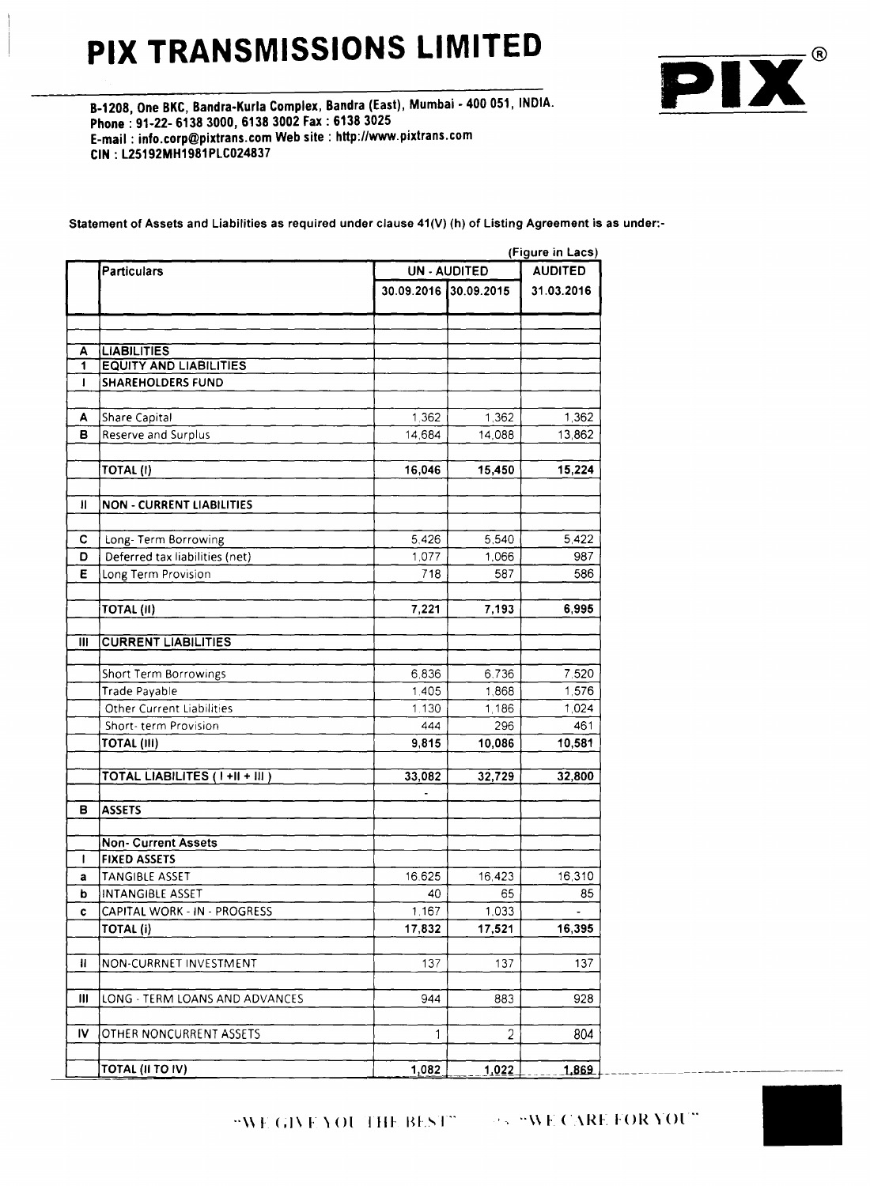## **PIX TRANSMISSIONS LIMITED**



8-1208, One BKC, Bandra-Kurla Complex, 8andra (East), Mumbai - 400 051, INDIA. Phone: 91-22- 6138 3000, 6138 3002 Fax: 6138 3025 E-mail: [info.corp@pixtrans.com](mailto:info.corp@pixtrans.com) Web site: [hHp:llwww.pixtrans.com](http://hHp:llwww.pixtrans.com) CIN : l25192MH1981PlC024837

Statement of Assets and Liabilities as required under clause 41(V) (h) of Listing Agreement is as under:-

(Figure in Lacs) Particulars **Particulars** UN - AUDITED **AUDITED** 30.09.2016 30.09.2015 31.03.2016 A LIABILITIES 1 EQUITY AND LIABILITIES I SHAREHOLDERS FUND A Share Capital 1,362 1,362 1,362 1,362 1,362 **B** Reserve and Surplus 14,084 14,088 13,862 TOTAL (I) 16,046 15,450 15,224 II NON· CURRENT LIABILITIES C Long- Term Borrowing 5,426 5,540 5,422 **D** Deferred tax liabilities (net) 1,077 1,066 987 E Long Term Provision 586 TOTAL (II) 7,221 7,193 6,995 III CURRENT LIABILITIES Short Term Borrowings 6,836 6.736 7.520 Trade Payable 1,576 1,405 1,868 1,576 Other Current Liabilities 1.130 1,186 1,024 Short- term Provision  $\overline{444}$   $\overline{296}$   $\overline{461}$ | 9,815 | 10,086 | 10,581 | 10,086 | 10,581 | 10,086 | 10,581 | 10,086 | 10,581 | 10,086 | 10,581 | | | | | | | TOTAL LIABILITES ( I +II + III ) 33,082 32,729 32,800  $\frac{33,082}{1}$ B **ASSETS** Non· Current Assets I FIXED ASSETS a TANGIBLE ASSET 16.625 16.423 16.310 **b** INTANGIBLE ASSET 85  $\begin{array}{|c|c|c|c|c|c|}\n\hline\n\text{CAPITAL WORK - IN - PROGRESS} & & & 1.167 & & 1,033 \\
\hline\n\end{array}$ TOTAL (i) 17,832 | 17,832 | 17,521 | 16,39 II NON-CURRNET INVESTMENT  $\overline{137}$  137 137 137 III LONG - TERM LOANS AND ADVANCES 944 883 883 IV OTHER NONCURRENT ASSETS 804 TOTAL (II TO IV)  $1,082$   $1,022$  1,869